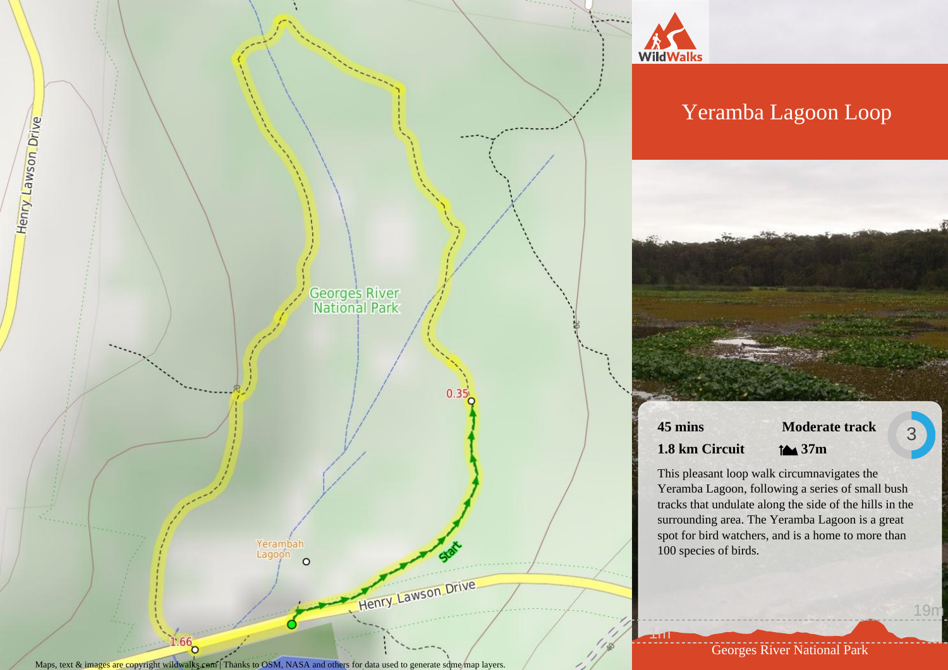



# Yeramba Lagoon Loop

**45 mins 1.8 km Circuit**

1m

**Moderate track 37m**

3

19m

This pleasant loop walk circumnavigates the Yeramba Lagoon, following a series of small bush tracks that undulate along the side of the hills in the surrounding area. The Yeramba Lagoon is a great spot for bird watchers, and is a home to more than 100 species of birds.

Georges River National Park